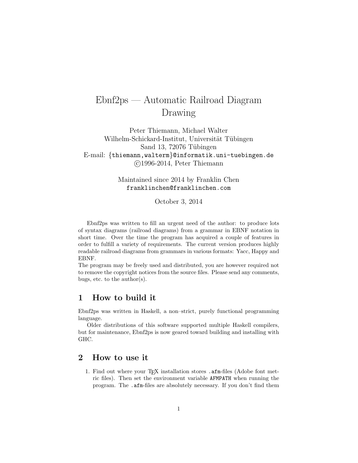# Ebnf2ps — Automatic Railroad Diagram Drawing

Peter Thiemann, Michael Walter Wilhelm-Schickard-Institut, Universität Tübingen Sand 13,  $72076$  Tübingen E-mail: {thiemann,walterm}@informatik.uni-tuebingen.de c 1996-2014, Peter Thiemann

> Maintained since 2014 by Franklin Chen franklinchen@franklinchen.com

> > October 3, 2014

Ebnf2ps was written to fill an urgent need of the author: to produce lots of syntax diagrams (railroad diagrams) from a grammar in EBNF notation in short time. Over the time the program has acquired a couple of features in order to fulfill a variety of requirements. The current version produces highly readable railroad diagrams from grammars in various formats: Yacc, Happy and EBNF.

The program may be freely used and distributed, you are however required not to remove the copyright notices from the source files. Please send any comments, bugs, etc. to the author(s).

# 1 How to build it

Ebnf2ps was written in Haskell, a non–strict, purely functional programming language.

Older distributions of this software supported multiple Haskell compilers, but for maintenance, Ebnf2ps is now geared toward building and installing with GHC.

# 2 How to use it

1. Find out where your  $T_F X$  installation stores .  $afm$ -files (Adobe font metric files). Then set the environment variable AFMPATH when running the program. The .afm-files are absolutely necessary. If you don't find them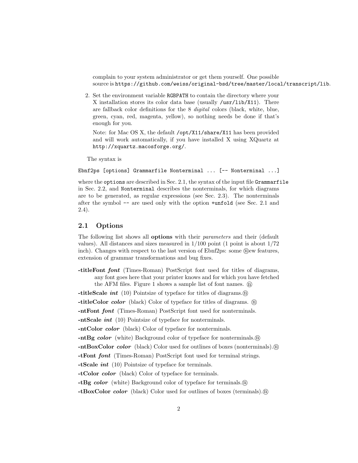complain to your system administrator or get them yourself. One possible source is https://github.com/weiss/original-bsd/tree/master/local/transcript/lib.

2. Set the environment variable RGBPATH to contain the directory where your X installation stores its color data base (usually /usr/lib/X11). There are fallback color definitions for the 8 digital colors (black, white, blue, green, cyan, red, magenta, yellow), so nothing needs be done if that's enough for you.

Note: for Mac OS X, the default /opt/X11/share/X11 has been provided and will work automatically, if you have installed X using XQuartz at http://xquartz.macosforge.org/.

The syntax is

```
Ebnf2ps [options] Grammarfile Nonterminal ... [-- Nonterminal ...]
```
where the options are described in Sec. 2.1, the syntax of the input file Grammarfile in Sec. 2.2, and Nonterminal describes the nonterminals, for which diagrams are to be generated, as regular expressions (see Sec. 2.3). The nonterminals after the symbol -- are used only with the option +unfold (see Sec. 2.1 and 2.4).

## 2.1 Options

The following list shows all **options** with their *parameters* and their (default values). All distances and sizes measured in  $1/100$  point (1 point is about  $1/72$ inch). Changes with respect to the last version of Ebnf2ps: some  $\Omega$  ew features, extension of grammar transformations and bug fixes.

-titleFont font (Times-Roman) PostScript font used for titles of diagrams, any font goes here that your printer knows and for which you have fetched the AFM files. Figure 1 shows a sample list of font names.  $(n)$ 

-titleScale *int* (10) Pointsize of typeface for titles of diagrams. $(n)$ 

-titleColor *color* (black) Color of typeface for titles of diagrams. (n)

-ntFont font (Times-Roman) PostScript font used for nonterminals.

-ntScale int (10) Pointsize of typeface for nonterminals.

-ntColor color (black) Color of typeface for nonterminals.

-ntBg color (white) Background color of typeface for nonterminals.  $\mathbf{\Omega}$ 

-ntBoxColor *color* (black) Color used for outlines of boxes (nonterminals). (ii)

-tFont font (Times-Roman) PostScript font used for terminal strings.

-tScale int (10) Pointsize of typeface for terminals.

-tColor color (black) Color of typeface for terminals.

-tBg color (white) Background color of typeface for terminals. m

-tBoxColor color (black) Color used for outlines of boxes (terminals). n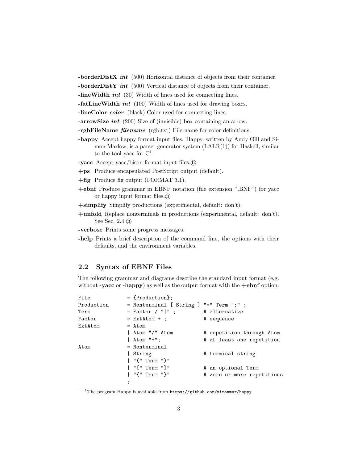-borderDistX int  $(500)$  Horizontal distance of objects from their container.

-borderDistY int  $(500)$  Vertical distance of objects from their container.

-lineWidth int (30) Width of lines used for connecting lines.

 $-fatLineWidth\ int\ (100)$  Width of lines used for drawing boxes.

-lineColor *color* (black) Color used for connecting lines.

-arrowSize int (200) Size of (invisible) box containing an arrow.

-rgbFileName filename (rgb.txt) File name for color definitions.

-happy Accept happy format input files. Happy, written by Andy Gill and Simon Marlow, is a parser generator system  $(LALR(1))$  for Haskell, similar to the tool yacc for  $C^1$ .

-yacc Accept yacc/bison format input files. n

- +ps Produce encapsulated PostScript output (default).
- +fig Produce fig output (FORMAT 3.1).
- +ebnf Produce grammar in EBNF notation (file extension ".BNF") for yacc or happy input format files. n

+simplify Simplify productions (experimental, default: don't).

+unfold Replace nonterminals in productions (experimental, default: don't). See Sec. 2.4. n

-verbose Prints some progress messages.

-help Prints a brief description of the command line, the options with their defaults, and the environment variables.

#### 2.2 Syntax of EBNF Files

The following grammar and diagrams describe the standard input format (e.g. without -yacc or -happy) as well as the output format with the  $+ebnf$  option.

| File       | $=$ {Production};        |                            |
|------------|--------------------------|----------------------------|
| Production | = Nonterminal [ String ] | $"=" "="" Term ";" :$      |
| Term       | = Factor / " " ;         | # alternative              |
| Factor     | $=$ ExtAtom $+$ ;        | # sequence                 |
| ExtAtom    | $=$ Atom                 |                            |
|            | Atom "/" Atom            | # repetition through Atom  |
|            | $ $ Atom "+";            | # at least one repetition  |
| Atom       | $=$ Nonterminal          |                            |
|            | String                   | # terminal string          |
|            | $ $ "(" Term ")"         |                            |
|            | "[" Term "]"             | # an optional Term         |
|            | "{" Term "}"             | # zero or more repetitions |
|            | $\overline{\phantom{a}}$ |                            |
|            |                          |                            |

 $1$ The program Happy is available from  $https://github.com/simonmar/happy$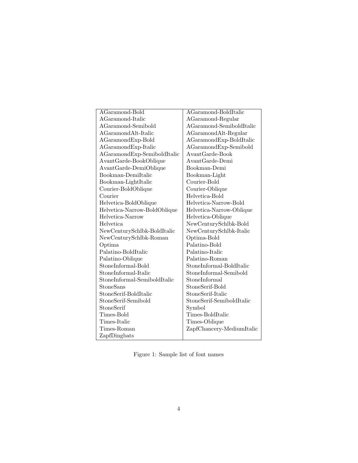| AGaramond-Bold               | AGaramond-BoldItalic      |  |
|------------------------------|---------------------------|--|
| AGaramond-Italic             | AGaramond-Regular         |  |
| AGaramond-Semibold           | AGaramond-SemiboldItalic  |  |
| AGaramondAlt-Italic          | AGaramondAlt-Regular      |  |
| AGaramondExp-Bold            | AGaramondExp-BoldItalic   |  |
| AGaramondExp-Italic          | AGaramondExp-Semibold     |  |
| AGaramondExp-SemiboldItalic  | AvantGarde-Book           |  |
| AvantGarde-BookOblique       | AvantGarde-Demi           |  |
| AvantGarde-DemiOblique       | Bookman-Demi              |  |
| Bookman-DemiItalic           | Bookman-Light             |  |
| Bookman-LightItalic          | Courier-Bold              |  |
| Courier-BoldOblique          | Courier-Oblique           |  |
| Courier                      | Helvetica-Bold            |  |
| Helvetica-BoldOblique        | Helvetica-Narrow-Bold     |  |
| Helvetica-Narrow-BoldOblique | Helvetica-Narrow-Oblique  |  |
| Helvetica-Narrow             | Helvetica-Oblique         |  |
| <b>Helvetica</b>             | NewCenturySchlbk-Bold     |  |
| NewCenturySchlbk-BoldItalic  | NewCenturySchlbk-Italic   |  |
| NewCenturySchlbk-Roman       | Optima-Bold               |  |
| Optima                       | Palatino-Bold             |  |
| Palatino-BoldItalic          | Palatino-Italic           |  |
| Palatino-Oblique             | Palatino-Roman            |  |
| StoneInformal-Bold           | StoneInformal-BoldItalic  |  |
| StoneInformal-Italic         | StoneInformal-Semibold    |  |
| StoneInformal-SemiboldItalic | StoneInformal             |  |
| StoneSans                    | StoneSerif-Bold           |  |
| StoneSerif-BoldItalic        | StoneSerif-Italic         |  |
| StoneSerif-Semibold          | StoneSerif-SemiboldItalic |  |
| StoneSerif                   | Symbol                    |  |
| Times-Bold                   | Times-BoldItalic          |  |
| Times-Italic                 | Times-Oblique             |  |
| Times-Roman                  | ZapfChancery-MediumItalic |  |
| ZapfDingbats                 |                           |  |

Figure 1: Sample list of font names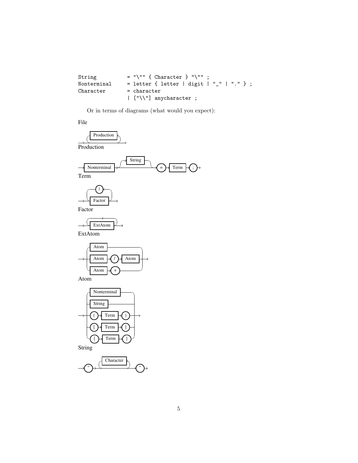| String      | $=$ "\"" { Character } "\"" :             |
|-------------|-------------------------------------------|
| Nonterminal | = letter { letter   digit   "_"   "." } ; |
| Character   | $=$ character                             |
|             | $\vert$ ["\\"] anycharacter ;             |

Or in terms of diagrams (what would you expect):

File

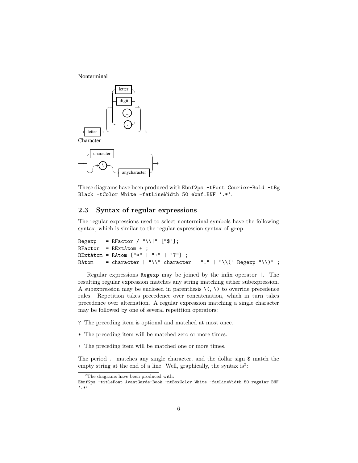Nonterminal



These diagrams have been produced with Ebnf2ps -tFont Courier-Bold -tBg Black -tColor White -fatLineWidth 50 ebnf.BNF '.\*'.

#### 2.3 Syntax of regular expressions

The regular expressions used to select nonterminal symbols have the following syntax, which is similar to the regular expression syntax of grep.

```
Regexp = RFactor / "\\|" ["$"];
RFactor = RExtAtom +;
RExtAtom = RAtom ["*" | "+" | "?"] ;
RAtom = character | "\\" character | "." | "\\(" Regexp "\\)" ;
```
Regular expressions Regexp may be joined by the infix operator |. The resulting regular expression matches any string matching either subexpression. A subexpression may be enclosed in parenthesis  $\setminus$  ( $\setminus$ ) to override precedence rules. Repetition takes precedence over concatenation, which in turn takes precedence over alternation. A regular expression matching a single character may be followed by one of several repetition operators:

- ? The preceding item is optional and matched at most once.
- \* The preceding item will be matched zero or more times.
- + The preceding item will be matched one or more times.

The period . matches any single character, and the dollar sign \$ match the empty string at the end of a line. Well, graphically, the syntax is<sup>2</sup>:

 $\overline{\text{^{2}The~diagrams}}$  have been produced with:

Ebnf2ps -titleFont AvantGarde-Book -ntBoxColor White -fatLineWidth 50 regular.BNF '.\*'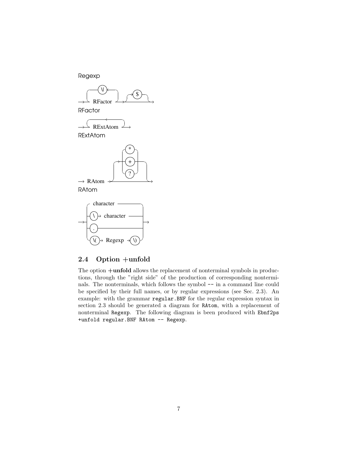





## 2.4 Option +unfold

The option +unfold allows the replacement of nonterminal symbols in productions, through the "right side" of the production of corresponding nonterminals. The nonterminals, which follows the symbol -- in a command line could be specified by their full names, or by regular expressions (see Sec. 2.3). An example: with the grammar regular.BNF for the regular expression syntax in section 2.3 should be generated a diagram for RAtom, with a replacement of nonterminal Regexp. The following diagram is been produced with Ebnf2ps +unfold regular.BNF RAtom -- Regexp.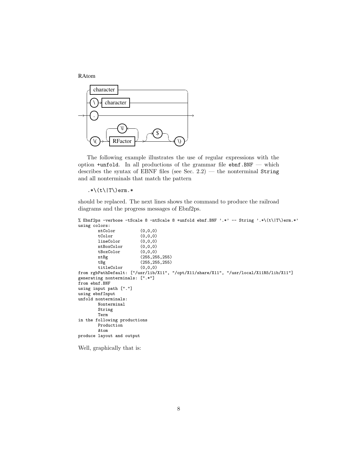RAtom



The following example illustrates the use of regular expressions with the option  $+$ unfold. In all productions of the grammar file  $ebnf.BNF$  — which describes the syntax of EBNF files (see Sec. 2.2) — the nonterminal String and all nonterminals that match the pattern

 $.*\(t\|T\)$ erm.\*

should be replaced. The next lines shows the command to produce the railroad diagrams and the progress messages of Ebnf2ps.

```
% Ebnf2ps -verbose -tScale 8 -ntScale 8 +unfold ebnf.BNF '.*' -- String '.*\(t\|T\)erm.*'
using colors:
```

```
ntColor (0,0,0)<br>tColor (0,0,0)
                             (0,0,0)lineColor (0,0,0)<br>
ntBoxColor (0,0,0)ntBoxColor (0,0,0)<br>tBoxColor (0,0,0)
         tBoxColor<br>ntBg
         ntBg (255,255,255)<br>tBg (255,255,255)
                             (255, 255, 255)<br>(0, 0, 0)titleColor
from rgbPathDefault: ["/usr/lib/X11", "/opt/X11/share/X11", "/usr/local/X11R5/lib/X11"]
generating nonterminals: [".*"]
from ebnf.BNF
using input path ["."]
using ebnfInput
unfold nonterminals:
         Nonterminal
         String
         Term
in the following productions
         Production
         Atom
produce layout and output
```
Well, graphically that is: